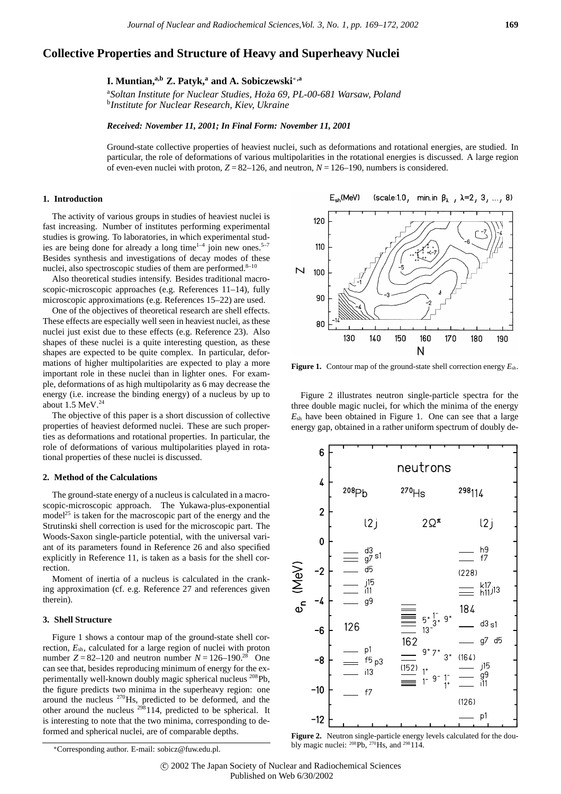# **Collective Properties and Structure of Heavy and Superheavy Nuclei**

**I. Muntian,a,b Z. Patyk,<sup>a</sup> and A. Sobiczewski**∗**,a**

<sup>a</sup>Soltan Institute for Nuclear Studies, Hoza 69, PL-00-681 Warsaw, Poland<br><sup>b</sup>Institute for Nuclear Research, Kiev, Ukraine *Institute for Nuclear Research, Kiev, Ukraine*

*Received: November 11, 2001; In Final Form: November 11, 2001*

Ground-state collective properties of heaviest nuclei, such as deformations and rotational energies, are studied. In particular, the role of deformations of various multipolarities in the rotational energies is discussed. A large region of even-even nuclei with proton,  $Z = 82-126$ , and neutron,  $N = 126-190$ , numbers is considered.

### **1. Introduction**

The activity of various groups in studies of heaviest nuclei is fast increasing. Number of institutes performing experimental studies is growing. To laboratories, in which experimental studies are being done for already a long time<sup>1-4</sup> join new ones.<sup>5-7</sup> Besides synthesis and investigations of decay modes of these nuclei, also spectroscopic studies of them are performed.<sup>8-10</sup>

Also theoretical studies intensify. Besides traditional macroscopic-microscopic approaches (e.g. References 11–14), fully microscopic approximations (e.g. References 15–22) are used.

One of the objectives of theoretical research are shell effects. These effects are especially well seen in heaviest nuclei, as these nuclei just exist due to these effects (e.g. Reference 23). Also shapes of these nuclei is a quite interesting question, as these shapes are expected to be quite complex. In particular, deformations of higher multipolarities are expected to play a more important role in these nuclei than in lighter ones. For example, deformations of as high multipolarity as 6 may decrease the energy (i.e. increase the binding energy) of a nucleus by up to about  $1.5$  MeV. $^{24}$ 

The objective of this paper is a short discussion of collective properties of heaviest deformed nuclei. These are such properties as deformations and rotational properties. In particular, the role of deformations of various multipolarities played in rotational properties of these nuclei is discussed.

#### **2. Method of the Calculations**

The ground-state energy of a nucleus is calculated in a macroscopic-microscopic approach. The Yukawa-plus-exponential model<sup>25</sup> is taken for the macroscopic part of the energy and the Strutinski shell correction is used for the microscopic part. The Woods-Saxon single-particle potential, with the universal variant of its parameters found in Reference 26 and also specified explicitly in Reference 11, is taken as a basis for the shell correction.

Moment of inertia of a nucleus is calculated in the cranking approximation (cf. e.g. Reference 27 and references given therein).

#### **3. Shell Structure**

Figure 1 shows a contour map of the ground-state shell correction, *E*sh, calculated for a large region of nuclei with proton number  $Z = 82 - 120$  and neutron number  $N = 126 - 190$ .<sup>28</sup> One can see that, besides reproducing minimum of energy for the experimentally well-known doubly magic spherical nucleus 208Pb, the figure predicts two minima in the superheavy region: one around the nucleus 270Hs, predicted to be deformed, and the other around the nucleus  $298114$ , predicted to be spherical. It is interesting to note that the two minima, corresponding to deformed and spherical nuclei, are of comparable depths.



**Figure 1.** Contour map of the ground-state shell correction energy *E*sh.

Figure 2 illustrates neutron single-particle spectra for the three double magic nuclei, for which the minima of the energy *E*sh have been obtained in Figure 1. One can see that a large energy gap, obtained in a rather uniform spectrum of doubly de-



**Figure 2.** Neutron single-particle energy levels calculated for the doubly magic nuclei:  $^{208}Pb$ ,  $^{270}Hs$ , and  $^{298}114$ .

c 2002 The Japan Society of Nuclear and Radiochemical Sciences Published on Web 6/30/2002

<sup>∗</sup>Corresponding author. E-mail: sobicz@fuw.edu.pl.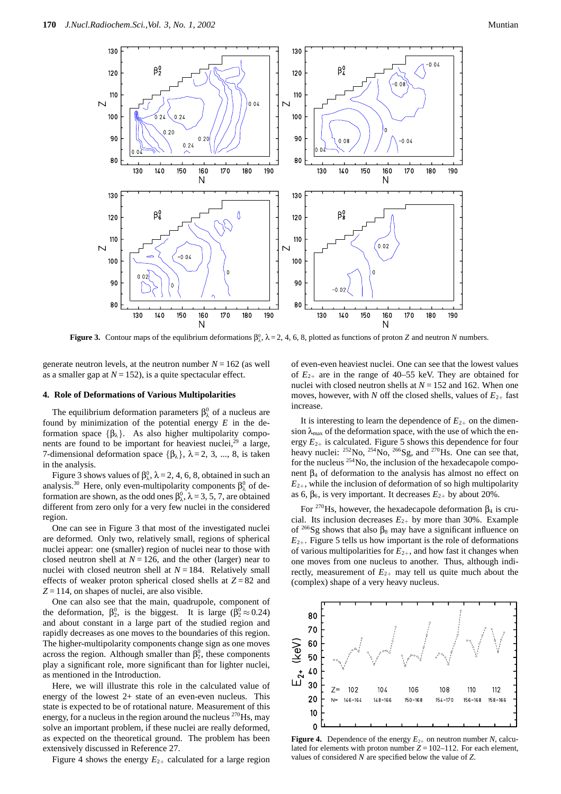

**Figure 3.** Contour maps of the equlibrium deformations  $\beta_{\lambda}^0$ ,  $\lambda = 2, 4, 6, 8$ , plotted as functions of proton *Z* and neutron *N* numbers.

generate neutron levels, at the neutron number  $N = 162$  (as well as a smaller gap at  $N = 152$ ), is a quite spectacular effect.

#### **4. Role of Deformations of Various Multipolarities**

The equilibrium deformation parameters  $\beta^0_\lambda$  of a nucleus are found by minimization of the potential energy *E* in the deformation space {βλ}. As also higher multipolarity components are found to be important for heaviest nuclei,<sup>29</sup> a large, 7-dimensional deformation space  $\{\beta_{\lambda}\}, \lambda = 2, 3, ..., 8$ , is taken in the analysis.

Figure 3 shows values of  $\beta_{\lambda}^0$ ,  $\lambda = 2, 4, 6, 8$ , obtained in such an analysis.<sup>30</sup> Here, only even-multipolarity components  $\beta_{\lambda}^0$  of deformation are shown, as the odd ones  $\beta_{\lambda}^0$ ,  $\lambda = 3, 5, 7$ , are obtained different from zero only for a very few nuclei in the considered region.

One can see in Figure 3 that most of the investigated nuclei are deformed. Only two, relatively small, regions of spherical nuclei appear: one (smaller) region of nuclei near to those with closed neutron shell at  $N = 126$ , and the other (larger) near to nuclei with closed neutron shell at  $N = 184$ . Relatively small effects of weaker proton spherical closed shells at *Z* = 82 and  $Z = 114$ , on shapes of nuclei, are also visible.

One can also see that the main, quadrupole, component of the deformation,  $\beta_2^0$ , is the biggest. It is large ( $\beta_2^0 \approx 0.24$ ) and about constant in a large part of the studied region and rapidly decreases as one moves to the boundaries of this region. The higher-multipolarity components change sign as one moves across the region. Although smaller than  $\beta_2^0$ , these components play a significant role, more significant than for lighter nuclei, as mentioned in the Introduction.

Here, we will illustrate this role in the calculated value of energy of the lowest 2+ state of an even-even nucleus. This state is expected to be of rotational nature. Measurement of this energy, for a nucleus in the region around the nucleus <sup>270</sup>Hs, may solve an important problem, if these nuclei are really deformed, as expected on the theoretical ground. The problem has been extensively discussed in Reference 27.

Figure 4 shows the energy  $E_{2+}$  calculated for a large region

of even-even heaviest nuclei. One can see that the lowest values of  $E_{2+}$  are in the range of 40–55 keV. They are obtained for nuclei with closed neutron shells at *N* = 152 and 162. When one moves, however, with *N* off the closed shells, values of  $E_{2+}$  fast increase.

It is interesting to learn the dependence of  $E_{2+}$  on the dimension  $\lambda_{\text{max}}$  of the deformation space, with the use of which the energy *E*2<sup>+</sup> is calculated. Figure 5 shows this dependence for four heavy nuclei:  $^{252}$ No,  $^{254}$ No,  $^{266}$ Sg, and  $^{270}$ Hs. One can see that, for the nucleus  $^{254}$ No, the inclusion of the hexadecapole component  $β<sub>4</sub>$  of deformation to the analysis has almost no effect on  $E_{2+}$ , while the inclusion of deformation of so high multipolarity as 6,  $\beta_6$ , is very important. It decreases  $E_{2+}$  by about 20%.

For <sup>270</sup>Hs, however, the hexadecapole deformation  $\beta_4$  is crucial. Its inclusion decreases  $E_{2+}$  by more than 30%. Example of  $2^{66}$ Sg shows that also  $\beta_8$  may have a significant influence on  $E_{2+}$ . Figure 5 tells us how important is the role of deformations of various multipolarities for *E*2<sup>+</sup>, and how fast it changes when one moves from one nucleus to another. Thus, although indirectly, measurement of  $E_{2+}$  may tell us quite much about the (complex) shape of a very heavy nucleus.



**Figure 4.** Dependence of the energy  $E_{2+}$  on neutron number *N*, calculated for elements with proton number  $Z = 102-112$ . For each element, values of considered *N* are specified below the value of *Z*.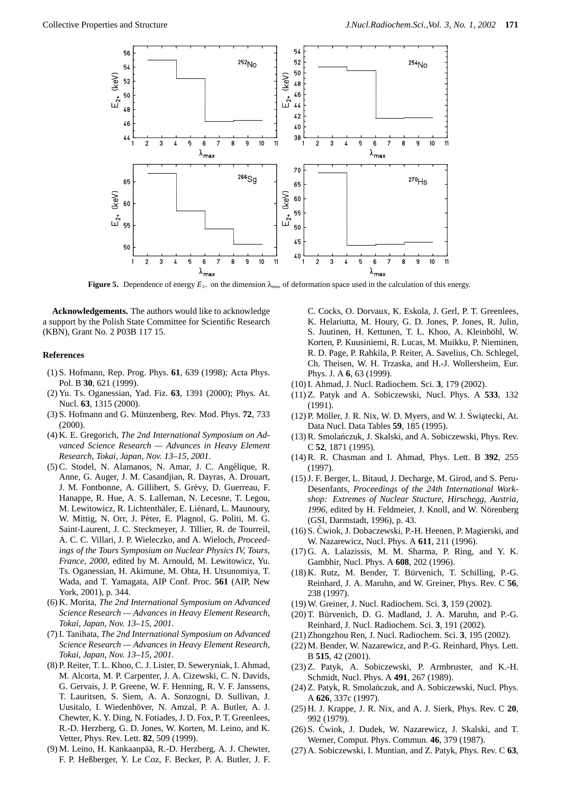

**Figure 5.** Dependence of energy  $E_{2+}$  on the dimension  $\lambda_{\text{max}}$  of deformation space used in the calculation of this energy.

**Acknowledgements.** The authors would like to acknowledge a support by the Polish State Committee for Scientific Research (KBN), Grant No. 2 P03B 117 15.

## **References**

- (1) S. Hofmann, Rep. Prog. Phys. **61**, 639 (1998); Acta Phys. Pol. B **30**, 621 (1999).
- (2) Yu. Ts. Oganessian, Yad. Fiz. **63**, 1391 (2000); Phys. At. Nucl. **63**, 1315 (2000).
- (3) S. Hofmann and G. M¨unzenberg, Rev. Mod. Phys. **72**, 733 (2000).
- (4) K. E. Gregorich, *The 2nd International Symposium on Advanced Science Research — Advances in Heavy Element Research, Tokai, Japan, Nov. 13–15, 2001*.
- (5) C. Stodel, N. Alamanos, N. Amar, J. C. Angélique, R. Anne, G. Auger, J. M. Casandjian, R. Dayras, A. Drouart, J. M. Fontbonne, A. Gillibert, S. Grévy, D. Guerreau, F. Hanappe, R. Hue, A. S. Lalleman, N. Lecesne, T. Legou, M. Lewitowicz, R. Lichtenthäler, E. Liénard, L. Maunoury, W. Mittig, N. Orr, J. Péter, E. Plagnol, G. Politi, M. G. Saint-Laurent, J. C. Steckmeyer, J. Tillier, R. de Tourreil, A. C. C. Villari, J. P. Wieleczko, and A. Wieloch, *Proceedings of the Tours Symposium on Nuclear Physics IV, Tours, France, 2000*, edited by M. Arnould, M. Lewitowicz, Yu. Ts. Oganessian, H. Akimune, M. Ohta, H. Utsunomiya, T. Wada, and T. Yamagata, AIP Conf. Proc. **561** (AIP, New York, 2001), p. 344.
- (6) K. Morita, *The 2nd International Symposium on Advanced Science Research — Advances in Heavy Element Research, Tokai, Japan, Nov. 13–15, 2001*.
- (7) I. Tanihata, *The 2nd International Symposium on Advanced Science Research — Advances in Heavy Element Research, Tokai, Japan, Nov. 13–15, 2001*.
- (8) P. Reiter, T. L. Khoo, C. J. Lister, D. Seweryniak, I. Ahmad, M. Alcorta, M. P. Carpenter, J. A. Cizewski, C. N. Davids, G. Gervais, J. P. Greene, W. F. Henning, R. V. F. Janssens, T. Lauritsen, S. Siem, A. A. Sonzogni, D. Sullivan, J. Uusitalo, I. Wiedenhöver, N. Amzal, P. A. Butler, A. J. Chewter, K. Y. Ding, N. Fotiades, J. D. Fox, P. T. Greenlees, R.-D. Herzberg, G. D. Jones, W. Korten, M. Leino, and K. Vetter, Phys. Rev. Lett. **82**, 509 (1999).
- (9) M. Leino, H. Kankaanpää, R.-D. Herzberg, A. J. Chewter, F. P. Heßberger, Y. Le Coz, F. Becker, P. A. Butler, J. F.

C. Cocks, O. Dorvaux, K. Eskola, J. Gerl, P. T. Greenlees, K. Helariutta, M. Houry, G. D. Jones, P. Jones, R. Julin, S. Juutinen, H. Kettunen, T. L. Khoo, A. Kleinböhl, W. Korten, P. Kuusiniemi, R. Lucas, M. Muikku, P. Nieminen, R. D. Page, P. Rahkila, P. Reiter, A. Savelius, Ch. Schlegel, Ch. Theisen, W. H. Trzaska, and H.-J. Wollersheim, Eur. Phys. J. A **6**, 63 (1999).

- (10) I. Ahmad, J. Nucl. Radiochem. Sci. **3**, 179 (2002).
- (11) Z. Patyk and A. Sobiczewski, Nucl. Phys. A **533**, 132 (1991).
- $(12)$  P. Möller, J. R. Nix, W. D. Myers, and W. J. Świątecki, At. Data Nucl. Data Tables **59**, 185 (1995).
- (13) R. Smolańczuk, J. Skalski, and A. Sobiczewski, Phys. Rev. C **52**, 1871 (1995).
- (14) R. R. Chasman and I. Ahmad, Phys. Lett. B **392**, 255 (1997).
- (15) J. F. Berger, L. Bitaud, J. Decharge, M. Girod, and S. Peru-Desenfants, *Proceedings of the 24th International Workshop: Extremes of Nuclear Stucture, Hirschegg, Austria,* 1996, edited by H. Feldmeier, J. Knoll, and W. Nörenberg (GSI, Darmstadt, 1996), p. 43.
- (16) S. Cwiok, J. Dobaczewski, P.-H. Heenen, P. Magierski, and ´ W. Nazarewicz, Nucl. Phys. A **611**, 211 (1996).
- (17) G. A. Lalazissis, M. M. Sharma, P. Ring, and Y. K. Gambhir, Nucl. Phys. A **608**, 202 (1996).
- (18) K. Rutz, M. Bender, T. Bürvenich, T. Schilling, P.-G. Reinhard, J. A. Maruhn, and W. Greiner, Phys. Rev. C **56**, 238 (1997).
- (19) W. Greiner, J. Nucl. Radiochem. Sci. **3**, 159 (2002).
- (20) T. Bürvenich, D. G. Madland, J. A. Maruhn, and P.-G. Reinhard, J. Nucl. Radiochem. Sci. **3**, 191 (2002).
- (21) Zhongzhou Ren, J. Nucl. Radiochem. Sci. **3**, 195 (2002).
- (22) M. Bender, W. Nazarewicz, and P.-G. Reinhard, Phys. Lett. B **515**, 42 (2001).
- (23) Z. Patyk, A. Sobiczewski, P. Armbruster, and K.-H. Schmidt, Nucl. Phys. A **491**, 267 (1989).
- (24) Z. Patyk, R. Smolańczuk, and A. Sobiczewski, Nucl. Phys. A **626**, 337c (1997).
- (25) H. J. Krappe, J. R. Nix, and A. J. Sierk, Phys. Rev. C **20**, 992 (1979).
- (26) S. Cwiok, J. Dudek, W. Nazarewicz, J. Skalski, and T. ´ Werner, Comput. Phys. Commun. **46**, 379 (1987).
- (27) A. Sobiczewski, I. Muntian, and Z. Patyk, Phys. Rev. C **63**,